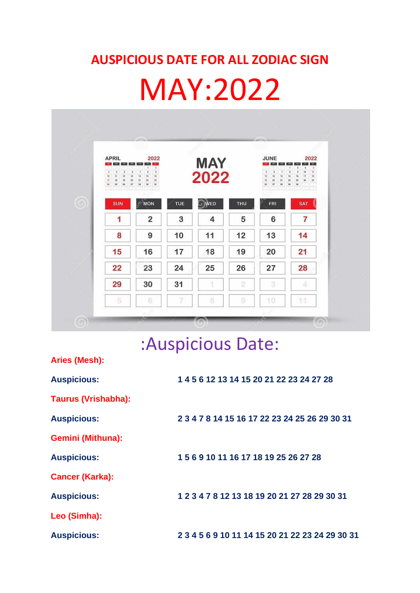## **AUSPICIOUS DATE FOR ALL ZODIAC SIGN**

## MAY:2022

| Black of Chance<br><b>APRIL</b><br><b>COL</b><br><b>MAG DAK WAY</b><br>5<br>$\overline{a}$<br>×.<br>18<br>11<br>12<br>37<br>18<br>10 <sub>1</sub><br>25<br>54.<br>26 | 2022<br>1941 D.M. 240<br>7 <sup>1</sup><br>્ટ<br>¥.<br>D.<br>$\mathfrak{g}$<br>$\overline{\phantom{a}}$<br>16<br>11<br>16<br>74<br>78<br>22<br>20<br>21<br>30 <sub>°</sub><br>35<br>2T<br>38 |     | <b>MAY</b><br>2022 |                | JUNE<br>$\sim$<br>$\overline{\phantom{a}}$<br>s.<br>v.<br>12<br>14<br>11<br>10<br>29<br>21<br>$27\,$<br>38<br>$26$ | 2022<br>Mill Bart<br><b>SEPT</b><br>$\ast$<br>4<br>٠<br>ż<br>10<br>$\overline{a}$<br>s<br>11<br>37<br>18<br>26<br>16<br>25<br>24<br>22<br>28<br>$^{22}$<br>20 <sub>2</sub><br>市场 |
|----------------------------------------------------------------------------------------------------------------------------------------------------------------------|----------------------------------------------------------------------------------------------------------------------------------------------------------------------------------------------|-----|--------------------|----------------|--------------------------------------------------------------------------------------------------------------------|----------------------------------------------------------------------------------------------------------------------------------------------------------------------------------|
| <b>SUN</b>                                                                                                                                                           | $\mathbb{C}^{\mathsf{MON}}$                                                                                                                                                                  | TUE | <b>O</b> WED       | <b>THU</b>     | FRI                                                                                                                | <b>SAT</b>                                                                                                                                                                       |
| 1                                                                                                                                                                    | $\overline{2}$                                                                                                                                                                               | 3   | 4                  | 5              | 6                                                                                                                  | 7                                                                                                                                                                                |
| 8                                                                                                                                                                    | 9                                                                                                                                                                                            | 10  | 11                 | 12             | 13                                                                                                                 | 14                                                                                                                                                                               |
| 15                                                                                                                                                                   | 16                                                                                                                                                                                           | 17  | 18                 | 19             | 20                                                                                                                 | 21                                                                                                                                                                               |
| 22                                                                                                                                                                   | 23                                                                                                                                                                                           | 24  | 25                 | 26             | 27                                                                                                                 | 28                                                                                                                                                                               |
| 29                                                                                                                                                                   | 30                                                                                                                                                                                           | 31  | 1                  | $\overline{2}$ | 3                                                                                                                  | 4                                                                                                                                                                                |
| 5                                                                                                                                                                    | 6                                                                                                                                                                                            | 7   | 8                  | 9              | 10                                                                                                                 | 11                                                                                                                                                                               |

## :Auspicious Date:

| Aries (Mesh):              |                                                 |
|----------------------------|-------------------------------------------------|
| <b>Auspicious:</b>         | 1 4 5 6 12 13 14 15 20 21 22 23 24 27 28        |
| <b>Taurus (Vrishabha):</b> |                                                 |
| <b>Auspicious:</b>         | 2 3 4 7 8 14 15 16 17 22 23 24 25 26 29 30 31   |
| <b>Gemini (Mithuna):</b>   |                                                 |
| <b>Auspicious:</b>         | 1 5 6 9 10 11 16 17 18 19 25 26 27 28           |
| <b>Cancer (Karka):</b>     |                                                 |
| <b>Auspicious:</b>         | 1 2 3 4 7 8 12 13 18 19 20 21 27 28 29 30 31    |
| Leo (Simha):               |                                                 |
| <b>Auspicious:</b>         | 2 3 4 5 6 9 10 11 14 15 20 21 22 23 24 29 30 31 |